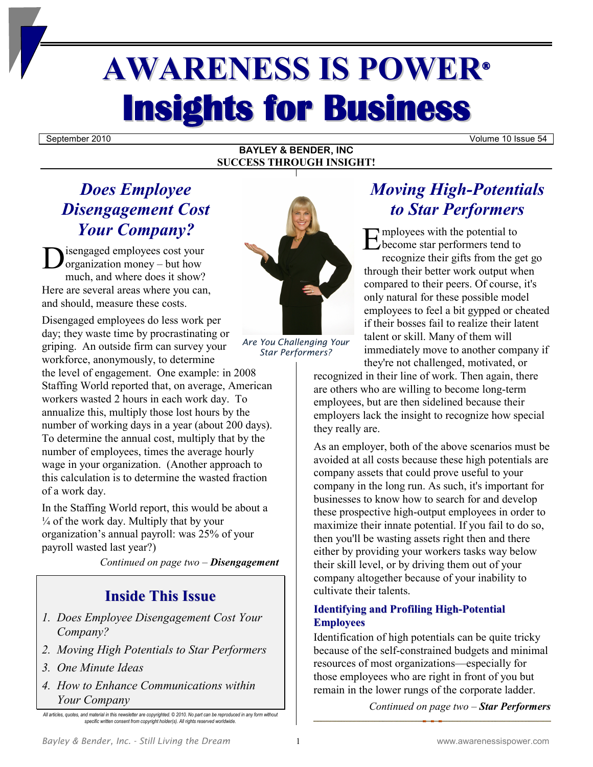# **AWARENESS IS POWER® Insights for Business**

September 2010 Volume 10 Issue 54

### **BAYLEY & BENDER, INC SUCCESS THROUGH INSIGHT!**

### *Does Employee Disengagement Cost Your Company?*

isengaged employees cost your organization money – but how much, and where does it show? Here are several areas where you can, and should, measure these costs.

Disengaged employees do less work per day; they waste time by procrastinating or griping. An outside firm can survey your workforce, anonymously, to determine

the level of engagement. One example: in 2008 Staffing World reported that, on average, American workers wasted 2 hours in each work day. To annualize this, multiply those lost hours by the number of working days in a year (about 200 days). To determine the annual cost, multiply that by the number of employees, times the average hourly wage in your organization. (Another approach to this calculation is to determine the wasted fraction of a work day.

In the Staffing World report, this would be about a  $\frac{1}{4}$  of the work day. Multiply that by your organization's annual payroll: was 25% of your payroll wasted last year?)

*Continued on page two – Disengagement*

### **Inside This Issue**

- *1. Does Employee Disengagement Cost Your Company?*
- *2. Moving High Potentials to Star Performers*
- *3. One Minute Ideas*
- *4. How to Enhance Communications within Your Company*



*Are You Challenging Your Star Performers?*

## *Moving High-Potentials to Star Performers*

mployees with the potential to become star performers tend to recognize their gifts from the get go through their better work output when compared to their peers. Of course, it's only natural for these possible model employees to feel a bit gypped or cheated if their bosses fail to realize their latent talent or skill. Many of them will immediately move to another company if they're not challenged, motivated, or

recognized in their line of work. Then again, there are others who are willing to become long-term employees, but are then sidelined because their employers lack the insight to recognize how special they really are.

As an employer, both of the above scenarios must be avoided at all costs because these high potentials are company assets that could prove useful to your company in the long run. As such, it's important for businesses to know how to search for and develop these prospective high-output employees in order to maximize their innate potential. If you fail to do so, then you'll be wasting assets right then and there either by providing your workers tasks way below their skill level, or by driving them out of your company altogether because of your inability to cultivate their talents.

### **Identifying and Profiling High-Potential Employees**

Identification of high potentials can be quite tricky because of the self-constrained budgets and minimal resources of most organizations—especially for those employees who are right in front of you but remain in the lower rungs of the corporate ladder.

*Continued on page two – Star Performers*

All articles, quotes, and material in this newsletter are copyrighted. © 2010. No part can be reproduced in any form without<br>specific written consent from copyright holder(s). All rights reserved worldwide.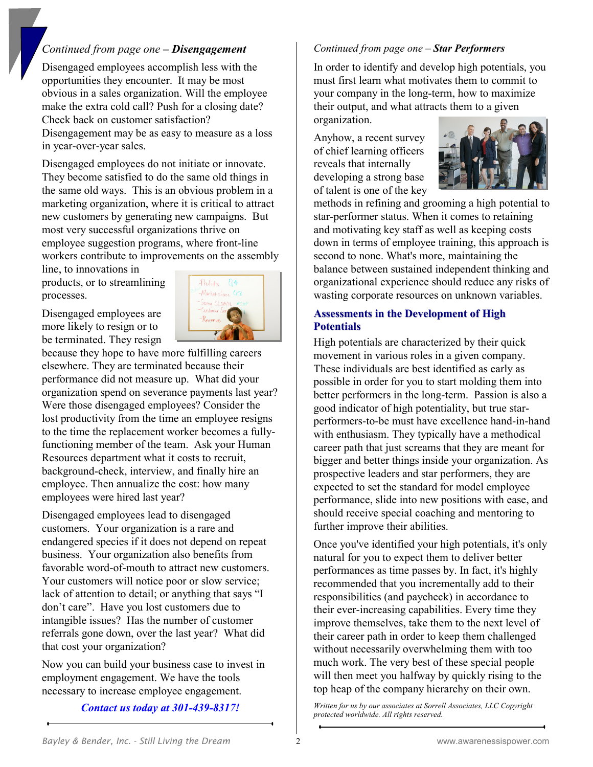### *Continued from page one – Disengagement*

Disengaged employees accomplish less with the opportunities they encounter. It may be most obvious in a sales organization. Will the employee make the extra cold call? Push for a closing date? Check back on customer satisfaction? Disengagement may be as easy to measure as a loss in year-over-year sales.

Disengaged employees do not initiate or innovate. They become satisfied to do the same old things in the same old ways. This is an obvious problem in a marketing organization, where it is critical to attract new customers by generating new campaigns. But most very successful organizations thrive on employee suggestion programs, where front-line workers contribute to improvements on the assembly

> $Probability$   $Q4$ -Market share Q2

line, to innovations in products, or to streamlining processes.

Disengaged employees are more likely to resign or to be terminated. They resign



Disengaged employees lead to disengaged customers. Your organization is a rare and endangered species if it does not depend on repeat business. Your organization also benefits from favorable word-of-mouth to attract new customers. Your customers will notice poor or slow service; lack of attention to detail; or anything that says "I don't care". Have you lost customers due to intangible issues? Has the number of customer referrals gone down, over the last year? What did that cost your organization?

Now you can build your business case to invest in employment engagement. We have the tools necessary to increase employee engagement.

#### *Contact us today at 301-439-8317!*

### *Continued from page one – Star Performers*

In order to identify and develop high potentials, you must first learn what motivates them to commit to your company in the long-term, how to maximize their output, and what attracts them to a given organization.

Anyhow, a recent survey of chief learning officers reveals that internally developing a strong base of talent is one of the key



methods in refining and grooming a high potential to star-performer status. When it comes to retaining and motivating key staff as well as keeping costs down in terms of employee training, this approach is second to none. What's more, maintaining the balance between sustained independent thinking and organizational experience should reduce any risks of wasting corporate resources on unknown variables.

#### **Assessments in the Development of High Potentials**

High potentials are characterized by their quick movement in various roles in a given company. These individuals are best identified as early as possible in order for you to start molding them into better performers in the long-term. Passion is also a good indicator of high potentiality, but true starperformers-to-be must have excellence hand-in-hand with enthusiasm. They typically have a methodical career path that just screams that they are meant for bigger and better things inside your organization. As prospective leaders and star performers, they are expected to set the standard for model employee performance, slide into new positions with ease, and should receive special coaching and mentoring to further improve their abilities.

Once you've identified your high potentials, it's only natural for you to expect them to deliver better performances as time passes by. In fact, it's highly recommended that you incrementally add to their responsibilities (and paycheck) in accordance to their ever-increasing capabilities. Every time they improve themselves, take them to the next level of their career path in order to keep them challenged without necessarily overwhelming them with too much work. The very best of these special people will then meet you halfway by quickly rising to the top heap of the company hierarchy on their own.

*Written for us by our associates at [Sorrell Associates, LLC](http://newsletterville.com/) Copyright protected worldwide. All rights reserved.*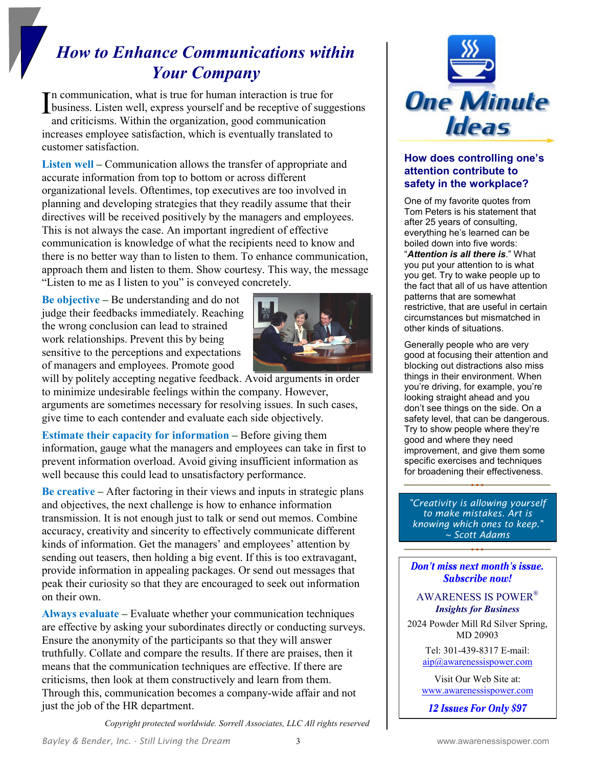# *How to Enhance Communications within Your Company*

**The communication, what is true for human interaction is true for** In communication, what is true for human interaction is true for<br>business. Listen well, express yourself and be receptive of suggestions<br>and criticisms. Within the crossization, and communication and criticisms. Within the organization, good communication increases employee satisfaction, which is eventually translated to customer satisfaction.

**Listen well –** Communication allows the transfer of appropriate and accurate information from top to bottom or across different organizational levels. Oftentimes, top executives are too involved in planning and developing strategies that they readily assume that their directives will be received positively by the managers and employees. This is not always the case. An important ingredient of effective communication is knowledge of what the recipients need to know and there is no better way than to listen to them. To enhance communication, approach them and listen to them. Show courtesy. This way, the message "Listen to me as I listen to you" is conveyed concretely.

**Be objective –** Be understanding and do not judge their feedbacks immediately. Reaching the wrong conclusion can lead to strained work relationships. Prevent this by being sensitive to the perceptions and expectations of managers and employees. Promote good



will by politely accepting negative feedback. Avoid arguments in order to minimize undesirable feelings within the company. However, arguments are sometimes necessary for resolving issues. In such cases, give time to each contender and evaluate each side objectively.

**Estimate their capacity for information –** Before giving them information, gauge what the managers and employees can take in first to prevent information overload. Avoid giving insufficient information as well because this could lead to unsatisfactory performance.

**Be creative –** After factoring in their views and inputs in strategic plans and objectives, the next challenge is how to enhance information transmission. It is not enough just to talk or send out memos. Combine accuracy, creativity and sincerity to effectively communicate different kinds of information. Get the managers' and employees' attention by sending out teasers, then holding a big event. If this is too extravagant, provide information in appealing packages. Or send out messages that peak their curiosity so that they are encouraged to seek out information on their own.

**Always evaluate –** Evaluate whether your communication techniques are effective by asking your subordinates directly or conducting surveys. Ensure the anonymity of the participants so that they will answer truthfully. Collate and compare the results. If there are praises, then it means that the communication techniques are effective. If there are criticisms, then look at them constructively and learn from them. Through this, communication becomes a company-wide affair and not just the job of the HR department.

*Copyright protected worldwide. Sorrell Associates, LLC All rights reserved*



### **How does controlling one's attention contribute to safety in the workplace?**

One of my favorite quotes from Tom Peters is his statement that after 25 years of consulting, everything he's learned can be boiled down into five words: "*Attention is all there is*." What you put your attention to is what you get. Try to wake people up to the fact that all of us have attention patterns that are somewhat restrictive, that are useful in certain circumstances but mismatched in other kinds of situations.

Generally people who are very good at focusing their attention and blocking out distractions also miss things in their environment. When you're driving, for example, you're looking straight ahead and you don't see things on the side. On a safety level, that can be dangerous. Try to show people where they're good and where they need improvement, and give them some specific exercises and techniques for broadening their effectiveness.

*"Creativity is allowing yourself to make mistakes. Art is knowing which ones to keep." ~ Scott Adams*

Don't miss next month's issue. Subscribe now!

AWARENESS IS POWER® *Insights for Business*

2024 Powder Mill Rd Silver Spring, MD 20903

> Tel: 301-439-8317 E-mail: [aip@awarenessispower.com](mailto:aip@awarenessispower.com)

Visit Our Web Site at: [www.awarenessispower.com](http://www.awarenessispower.com/)

12 Issues For Only \$97